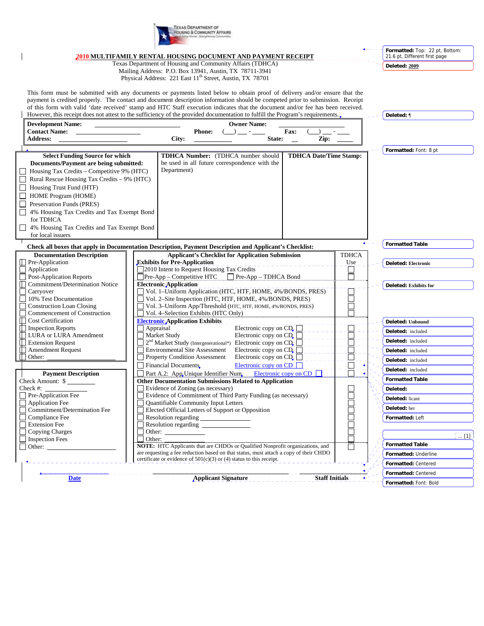

|                                                                                                                                                                                                                                                              |                                                                                                                                                                                                                                                                  |                                                                         | 2010 MULTIFAMILY RENTAL HOUSING DOCUMENT AND PAYMENT RECEIPT                                                                                                   |                                                        |                  |                               |  | Formatted: Top: 22 pt, Bottom:<br>21.6 pt, Different first page |
|--------------------------------------------------------------------------------------------------------------------------------------------------------------------------------------------------------------------------------------------------------------|------------------------------------------------------------------------------------------------------------------------------------------------------------------------------------------------------------------------------------------------------------------|-------------------------------------------------------------------------|----------------------------------------------------------------------------------------------------------------------------------------------------------------|--------------------------------------------------------|------------------|-------------------------------|--|-----------------------------------------------------------------|
|                                                                                                                                                                                                                                                              |                                                                                                                                                                                                                                                                  |                                                                         | Texas Department of Housing and Community Affairs (TDHCA)                                                                                                      |                                                        |                  |                               |  |                                                                 |
|                                                                                                                                                                                                                                                              | Mailing Address: P.O. Box 13941, Austin, TX 78711-3941                                                                                                                                                                                                           |                                                                         |                                                                                                                                                                |                                                        |                  |                               |  | Deleted: 2009                                                   |
|                                                                                                                                                                                                                                                              | Physical Address: 221 East 11 <sup>th</sup> Street, Austin, TX 78701                                                                                                                                                                                             |                                                                         |                                                                                                                                                                |                                                        |                  |                               |  |                                                                 |
|                                                                                                                                                                                                                                                              |                                                                                                                                                                                                                                                                  |                                                                         |                                                                                                                                                                |                                                        |                  |                               |  |                                                                 |
| This form must be submitted with any documents or payments listed below to obtain proof of delivery and/or ensure that the<br>payment is credited properly. The contact and document description information should be competed prior to submission. Receipt |                                                                                                                                                                                                                                                                  |                                                                         |                                                                                                                                                                |                                                        |                  |                               |  |                                                                 |
|                                                                                                                                                                                                                                                              |                                                                                                                                                                                                                                                                  |                                                                         |                                                                                                                                                                |                                                        |                  |                               |  |                                                                 |
|                                                                                                                                                                                                                                                              | of this form with valid 'date received' stamp and HTC Staff execution indicates that the document and/or fee has been received.<br>However, this receipt does not attest to the sufficiency of the provided documentation to fulfill the Program's requirements. |                                                                         |                                                                                                                                                                |                                                        |                  |                               |  |                                                                 |
|                                                                                                                                                                                                                                                              |                                                                                                                                                                                                                                                                  |                                                                         |                                                                                                                                                                |                                                        |                  |                               |  | Deleted: ¶                                                      |
|                                                                                                                                                                                                                                                              | <b>Contact Name:</b>                                                                                                                                                                                                                                             | <b>Development Name:</b><br><b>Owner Name:</b><br>Fax:<br><b>Phone:</b> |                                                                                                                                                                |                                                        |                  |                               |  |                                                                 |
|                                                                                                                                                                                                                                                              | <b>Address:</b>                                                                                                                                                                                                                                                  |                                                                         | City:                                                                                                                                                          | State:                                                 |                  | Zip:                          |  |                                                                 |
|                                                                                                                                                                                                                                                              |                                                                                                                                                                                                                                                                  |                                                                         |                                                                                                                                                                |                                                        |                  |                               |  |                                                                 |
|                                                                                                                                                                                                                                                              | <b>Select Funding Source for which</b>                                                                                                                                                                                                                           |                                                                         | <b>TDHCA Number:</b> (TDHCA number should                                                                                                                      |                                                        |                  | <b>TDHCA Date/Time Stamp:</b> |  | Formatted: Font: 8 pt                                           |
|                                                                                                                                                                                                                                                              | Documents/Payment are being submitted:                                                                                                                                                                                                                           |                                                                         | be used in all future correspondence with the                                                                                                                  |                                                        |                  |                               |  |                                                                 |
| $\Box$                                                                                                                                                                                                                                                       | Housing Tax Credits – Competitive 9% (HTC)                                                                                                                                                                                                                       |                                                                         | Department)                                                                                                                                                    |                                                        |                  |                               |  |                                                                 |
|                                                                                                                                                                                                                                                              | Rural Rescue Housing Tax Credits - 9% (HTC)                                                                                                                                                                                                                      |                                                                         |                                                                                                                                                                |                                                        |                  |                               |  |                                                                 |
|                                                                                                                                                                                                                                                              | Housing Trust Fund (HTF)                                                                                                                                                                                                                                         |                                                                         |                                                                                                                                                                |                                                        |                  |                               |  |                                                                 |
|                                                                                                                                                                                                                                                              | HOME Program (HOME)                                                                                                                                                                                                                                              |                                                                         |                                                                                                                                                                |                                                        |                  |                               |  |                                                                 |
|                                                                                                                                                                                                                                                              | Preservation Funds (PRES)                                                                                                                                                                                                                                        |                                                                         |                                                                                                                                                                |                                                        |                  |                               |  |                                                                 |
|                                                                                                                                                                                                                                                              | 4% Housing Tax Credits and Tax Exempt Bond                                                                                                                                                                                                                       |                                                                         |                                                                                                                                                                |                                                        |                  |                               |  |                                                                 |
|                                                                                                                                                                                                                                                              | for TDHCA                                                                                                                                                                                                                                                        |                                                                         |                                                                                                                                                                |                                                        |                  |                               |  |                                                                 |
|                                                                                                                                                                                                                                                              | 4% Housing Tax Credits and Tax Exempt Bond                                                                                                                                                                                                                       |                                                                         |                                                                                                                                                                |                                                        |                  |                               |  |                                                                 |
|                                                                                                                                                                                                                                                              | for local issuers                                                                                                                                                                                                                                                |                                                                         |                                                                                                                                                                |                                                        |                  |                               |  |                                                                 |
| Check all boxes that apply in Documentation Description, Payment Description and Applicant's Checklist:                                                                                                                                                      |                                                                                                                                                                                                                                                                  |                                                                         |                                                                                                                                                                |                                                        |                  |                               |  | <b>Formatted Table</b>                                          |
|                                                                                                                                                                                                                                                              | <b>Documentation Description</b>                                                                                                                                                                                                                                 |                                                                         | <b>Applicant's Checklist for Application Submission</b>                                                                                                        |                                                        |                  | <b>TDHCA</b>                  |  |                                                                 |
|                                                                                                                                                                                                                                                              | $\Box$ Pre-Application                                                                                                                                                                                                                                           |                                                                         | <b>Exhibits for Pre-Application</b>                                                                                                                            |                                                        |                  | Use                           |  | <b>Deleted: Electronic</b>                                      |
|                                                                                                                                                                                                                                                              | Application                                                                                                                                                                                                                                                      |                                                                         | 2010 Intent to Request Housing Tax Credits                                                                                                                     |                                                        |                  |                               |  |                                                                 |
|                                                                                                                                                                                                                                                              | <b>Post-Application Reports</b>                                                                                                                                                                                                                                  |                                                                         | $\Box$ Pre-App – Competitive HTC<br>$\Box$ Pre-App – TDHCA Bond                                                                                                |                                                        |                  |                               |  |                                                                 |
|                                                                                                                                                                                                                                                              | Commitment/Determination Notice                                                                                                                                                                                                                                  |                                                                         | <b>Electronic Application</b>                                                                                                                                  |                                                        |                  |                               |  | Deleted: Exhibits for                                           |
|                                                                                                                                                                                                                                                              | Carryover                                                                                                                                                                                                                                                        |                                                                         | Vol. 1-Uniform Application (HTC, HTF, HOME, 4%/BONDS, PRES)                                                                                                    |                                                        |                  |                               |  |                                                                 |
|                                                                                                                                                                                                                                                              | 10% Test Documentation                                                                                                                                                                                                                                           |                                                                         | Vol. 2-Site Inspection (HTC, HTF, HOME, 4%/BONDS, PRES)                                                                                                        |                                                        |                  |                               |  |                                                                 |
|                                                                                                                                                                                                                                                              | <b>Construction Loan Closing</b><br>Commencement of Construction                                                                                                                                                                                                 |                                                                         | Vol. 3-Uniform App/Threshold (HTC, HTF, HOME, 4%/BONDS, PRES)<br>Vol. 4-Selection Exhibits (HTC Only)                                                          |                                                        |                  |                               |  |                                                                 |
|                                                                                                                                                                                                                                                              | <b>Cost Certification</b>                                                                                                                                                                                                                                        |                                                                         | <b>Electronic Application Exhibits</b>                                                                                                                         |                                                        | Deleted: Unbound |                               |  |                                                                 |
|                                                                                                                                                                                                                                                              | <b>Inspection Reports</b>                                                                                                                                                                                                                                        |                                                                         | Appraisal                                                                                                                                                      | Electronic copy on CD <sub>c</sub>                     |                  |                               |  |                                                                 |
|                                                                                                                                                                                                                                                              | LURA or LURA Amendment                                                                                                                                                                                                                                           |                                                                         | Market Study                                                                                                                                                   | Electronic copy on $CD$ <sub>, <math>\Box</math></sub> |                  |                               |  | Deleted: included                                               |
|                                                                                                                                                                                                                                                              | <b>Extension Request</b>                                                                                                                                                                                                                                         |                                                                         | 2 <sup>nd</sup> Market Study (Intergenerational*) Electronic copy on CD <sub>r</sub>                                                                           |                                                        |                  |                               |  | Deleted: included                                               |
|                                                                                                                                                                                                                                                              | <b>Amendment Request</b>                                                                                                                                                                                                                                         |                                                                         | <b>Environmental Site Assessment</b>                                                                                                                           | Electronic copy on CD <sub>r</sub>                     |                  |                               |  | Deleted: included                                               |
|                                                                                                                                                                                                                                                              | Other:                                                                                                                                                                                                                                                           |                                                                         | Property Condition Assessment                                                                                                                                  | Electronic copy on $CD$                                |                  |                               |  | Deleted: included                                               |
|                                                                                                                                                                                                                                                              |                                                                                                                                                                                                                                                                  |                                                                         | $\Box$ Financial Documents                                                                                                                                     | Electronic copy on $CD$                                |                  |                               |  | Deleted: included                                               |
|                                                                                                                                                                                                                                                              | <b>Payment Description</b>                                                                                                                                                                                                                                       |                                                                         | Part A.2: App Unique Identifier Num                                                                                                                            | Electronic copy on $CD$                                |                  |                               |  |                                                                 |
|                                                                                                                                                                                                                                                              | Check Amount: \$                                                                                                                                                                                                                                                 |                                                                         | <b>Other Documentation Submissions Related to Application</b>                                                                                                  |                                                        |                  |                               |  | <b>Formatted Table</b>                                          |
|                                                                                                                                                                                                                                                              | Check #:                                                                                                                                                                                                                                                         |                                                                         | Evidence of Zoning (as necessary)                                                                                                                              |                                                        |                  |                               |  | Deleted:                                                        |
|                                                                                                                                                                                                                                                              | $\Box$ Pre-Application Fee<br><b>Application Fee</b>                                                                                                                                                                                                             |                                                                         | Evidence of Commitment of Third Party Funding (as necessary)<br>Quantifiable Community Input Letters                                                           |                                                        |                  |                               |  | <b>Deleted:</b> licant                                          |
|                                                                                                                                                                                                                                                              | Commitment/Determination Fee                                                                                                                                                                                                                                     |                                                                         | Elected Official Letters of Support or Opposition                                                                                                              |                                                        |                  |                               |  | Deleted: ber                                                    |
|                                                                                                                                                                                                                                                              | Compliance Fee                                                                                                                                                                                                                                                   |                                                                         |                                                                                                                                                                |                                                        |                  |                               |  | Formatted: Left                                                 |
|                                                                                                                                                                                                                                                              | <b>Extension Fee</b>                                                                                                                                                                                                                                             |                                                                         |                                                                                                                                                                |                                                        |                  |                               |  |                                                                 |
|                                                                                                                                                                                                                                                              | Copying Charges                                                                                                                                                                                                                                                  |                                                                         | Other:                                                                                                                                                         |                                                        |                  |                               |  |                                                                 |
|                                                                                                                                                                                                                                                              | Inspection Fees                                                                                                                                                                                                                                                  | Other:                                                                  |                                                                                                                                                                |                                                        |                  |                               |  | $\ldots$ [1]                                                    |
|                                                                                                                                                                                                                                                              | $\Box$ Other:                                                                                                                                                                                                                                                    |                                                                         | <b>NOTE:</b> HTC Applicants that are CHDOs or Qualified Nonprofit organizations, and                                                                           |                                                        |                  |                               |  | <b>Formatted Table</b>                                          |
|                                                                                                                                                                                                                                                              |                                                                                                                                                                                                                                                                  |                                                                         | are requesting a fee reduction based on that status, must attach a copy of their CHDO<br>certificate or evidence of $501(c)(3)$ or (4) status to this receipt. |                                                        |                  |                               |  | Formatted: Underline                                            |
|                                                                                                                                                                                                                                                              |                                                                                                                                                                                                                                                                  |                                                                         |                                                                                                                                                                |                                                        |                  |                               |  | Formatted: Centered                                             |
|                                                                                                                                                                                                                                                              |                                                                                                                                                                                                                                                                  |                                                                         |                                                                                                                                                                |                                                        |                  |                               |  | Formatted: Centered                                             |
|                                                                                                                                                                                                                                                              | <b>Date</b>                                                                                                                                                                                                                                                      |                                                                         | <b>Applicant Signature</b>                                                                                                                                     |                                                        |                  | <b>Staff Initials</b>         |  | Formatted: Font: Bold                                           |
|                                                                                                                                                                                                                                                              |                                                                                                                                                                                                                                                                  |                                                                         |                                                                                                                                                                |                                                        |                  |                               |  |                                                                 |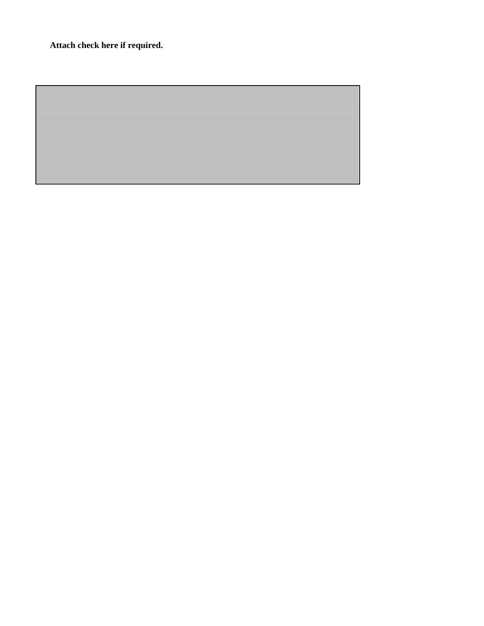**Attach check here if required.**